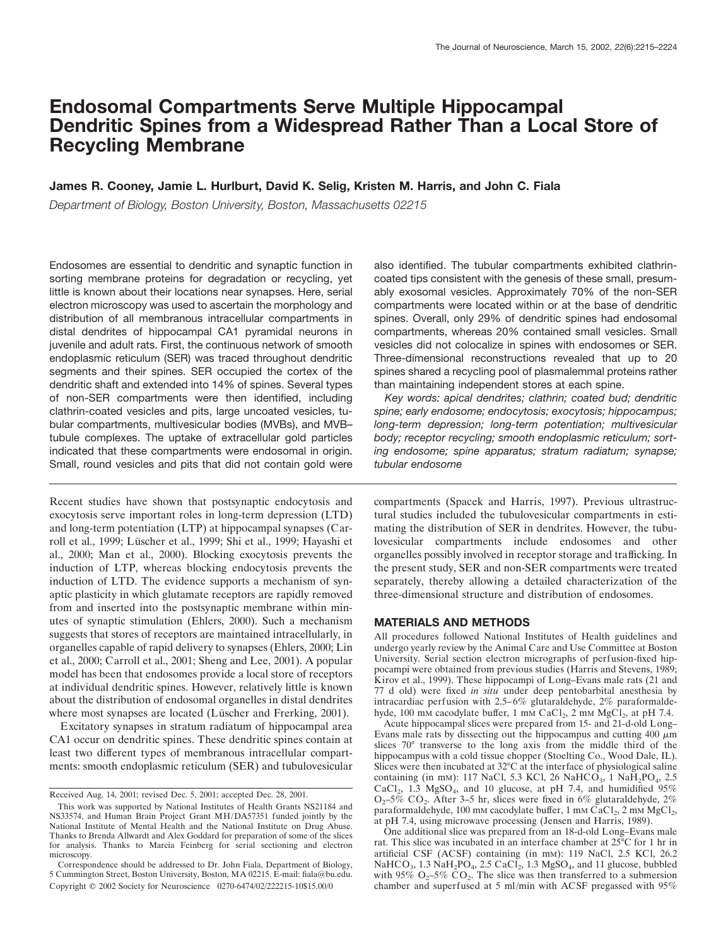# **Endosomal Compartments Serve Multiple Hippocampal Dendritic Spines from a Widespread Rather Than a Local Store of Recycling Membrane**

## **James R. Cooney, Jamie L. Hurlburt, David K. Selig, Kristen M. Harris, and John C. Fiala**

*Department of Biology, Boston University, Boston, Massachusetts 02215*

Endosomes are essential to dendritic and synaptic function in sorting membrane proteins for degradation or recycling, yet little is known about their locations near synapses. Here, serial electron microscopy was used to ascertain the morphology and distribution of all membranous intracellular compartments in distal dendrites of hippocampal CA1 pyramidal neurons in juvenile and adult rats. First, the continuous network of smooth endoplasmic reticulum (SER) was traced throughout dendritic segments and their spines. SER occupied the cortex of the dendritic shaft and extended into 14% of spines. Several types of non-SER compartments were then identified, including clathrin-coated vesicles and pits, large uncoated vesicles, tubular compartments, multivesicular bodies (MVBs), and MVB– tubule complexes. The uptake of extracellular gold particles indicated that these compartments were endosomal in origin. Small, round vesicles and pits that did not contain gold were

Recent studies have shown that postsynaptic endocytosis and exocytosis serve important roles in long-term depression (LTD) and long-term potentiation (LTP) at hippocampal synapses (Carroll et al., 1999; Lüscher et al., 1999; Shi et al., 1999; Hayashi et al., 2000; Man et al., 2000). Blocking exocytosis prevents the induction of LTP, whereas blocking endocytosis prevents the induction of LTD. The evidence supports a mechanism of synaptic plasticity in which glutamate receptors are rapidly removed from and inserted into the postsynaptic membrane within minutes of synaptic stimulation (Ehlers, 2000). Such a mechanism suggests that stores of receptors are maintained intracellularly, in organelles capable of rapid delivery to synapses (Ehlers, 2000; Lin et al., 2000; Carroll et al., 2001; Sheng and Lee, 2001). A popular model has been that endosomes provide a local store of receptors at individual dendritic spines. However, relatively little is known about the distribution of endosomal organelles in distal dendrites where most synapses are located (Lüscher and Frerking, 2001).

Excitatory synapses in stratum radiatum of hippocampal area CA1 occur on dendritic spines. These dendritic spines contain at least two different types of membranous intracellular compartments: smooth endoplasmic reticulum (SER) and tubulovesicular also identified. The tubular compartments exhibited clathrincoated tips consistent with the genesis of these small, presumably exosomal vesicles. Approximately 70% of the non-SER compartments were located within or at the base of dendritic spines. Overall, only 29% of dendritic spines had endosomal compartments, whereas 20% contained small vesicles. Small vesicles did not colocalize in spines with endosomes or SER. Three-dimensional reconstructions revealed that up to 20 spines shared a recycling pool of plasmalemmal proteins rather than maintaining independent stores at each spine.

*Key words: apical dendrites; clathrin; coated bud; dendritic spine; early endosome; endocytosis; exocytosis; hippocampus; long-term depression; long-term potentiation; multivesicular body; receptor recycling; smooth endoplasmic reticulum; sorting endosome; spine apparatus; stratum radiatum; synapse; tubular endosome*

compartments (Spacek and Harris, 1997). Previous ultrastructural studies included the tubulovesicular compartments in estimating the distribution of SER in dendrites. However, the tubulovesicular compartments include endosomes and other organelles possibly involved in receptor storage and trafficking. In the present study, SER and non-SER compartments were treated separately, thereby allowing a detailed characterization of the three-dimensional structure and distribution of endosomes.

#### **MATERIALS AND METHODS**

All procedures followed National Institutes of Health guidelines and undergo yearly review by the Animal Care and Use Committee at Boston University. Serial section electron micrographs of perfusion-fixed hippocampi were obtained from previous studies (Harris and Stevens, 1989; Kirov et al., 1999). These hippocampi of Long–Evans male rats (21 and 77 d old) were fixed *in situ* under deep pentobarbital anesthesia by intracardiac perfusion with 2.5–6% glutaraldehyde, 2% paraformaldehyde, 100 mm cacodylate buffer, 1 mm  $CaCl<sub>2</sub>$ , 2 mm  $MgCl<sub>2</sub>$ , at pH 7.4.

Acute hippocampal slices were prepared from 15- and 21-d-old Long– Evans male rats by dissecting out the hippocampus and cutting 400  $\mu$ m slices 70° transverse to the long axis from the middle third of the hippocampus with a cold tissue chopper (Stoelting Co., Wood Dale, IL). Slices were then incubated at 32°C at the interface of physiological saline containing (in mm): 117 NaCl, 5.3 KCl, 26 NaHCO<sub>3</sub>, 1 NaH<sub>2</sub>PO<sub>4</sub>, 2.5 CaCl<sub>2</sub>, 1.3 MgSO<sub>4</sub>, and 10 glucose, at pH 7.4, and humidified  $95\%$ O<sub>2</sub>–5% CO<sub>2</sub>. After 3–5 hr, slices were fixed in 6% glutaraldehyde, 2% paraformaldehyde, 100 mm cacodylate buffer, 1 mm  $CaCl<sub>2</sub>$ , 2 mm  $MgCl<sub>2</sub>$ , at pH 7.4, using microwave processing (Jensen and Harris, 1989).

One additional slice was prepared from an 18-d-old Long–Evans male rat. This slice was incubated in an interface chamber at 25°C for 1 hr in artificial CSF (ACSF) containing (in mM): 119 NaCl, 2.5 KCl, 26.2 NaHCO<sub>3</sub>, 1.3 NaH<sub>2</sub>PO<sub>4</sub>, 2.5 CaCl<sub>2</sub>, 1.3 MgSO<sub>4</sub>, and 11 glucose, bubbled with 95%  $O_2$ –5%  $CO_2$ . The slice was then transferred to a submersion chamber and superfused at 5 ml/min with ACSF pregassed with 95%

Received Aug. 14, 2001; revised Dec. 5, 2001; accepted Dec. 28, 2001.

This work was supported by National Institutes of Health Grants NS21184 and NS33574, and Human Brain Project Grant MH/DA57351 funded jointly by the National Institute of Mental Health and the National Institute on Drug Abuse. Thanks to Brenda Allwardt and Alex Goddard for preparation of some of the slices for analysis. Thanks to Marcia Feinberg for serial sectioning and electron microscopy.

Correspondence should be addressed to Dr. John Fiala, Department of Biology, 5 Cummington Street, Boston University, Boston, MA 02215. E-mail: fiala@bu.edu. Copyright © 2002 Society for Neuroscience 0270-6474/02/222215-10\$15.00/0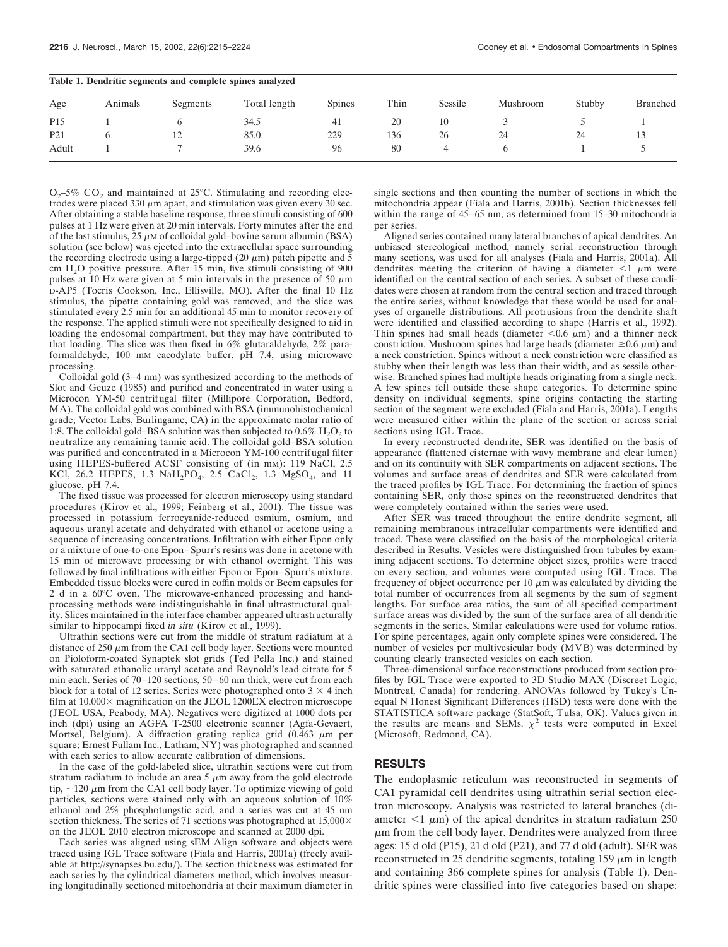| Table 1. Dendritic segments and complete spines analyzed |         |          |              |        |      |         |          |        |          |  |  |  |
|----------------------------------------------------------|---------|----------|--------------|--------|------|---------|----------|--------|----------|--|--|--|
| Age                                                      | Animals | Segments | Total length | Spines | Thin | Sessile | Mushroom | Stubby | Branched |  |  |  |
| P <sub>15</sub>                                          |         |          | 34.5         | -41    | 20   | 10      |          |        |          |  |  |  |
| P <sub>21</sub>                                          |         |          | 85.0         | 229    | 136  | 26      | 24       | 24     |          |  |  |  |
| Adult                                                    |         |          | 39.6         | 96     | 80   |         |          |        |          |  |  |  |

 $O<sub>2</sub>$ –5% CO<sub>2</sub> and maintained at 25°C. Stimulating and recording electrodes were placed 330  $\mu$ m apart, and stimulation was given every 30 sec. After obtaining a stable baseline response, three stimuli consisting of 600 pulses at 1 Hz were given at 20 min intervals. Forty minutes after the end of the last stimulus,  $\overline{25}$   $\mu$ M of colloidal gold–bovine serum albumin (BSA) solution (see below) was ejected into the extracellular space surrounding the recording electrode using a large-tipped (20  $\mu$ m) patch pipette and 5 cm  $H<sub>2</sub>O$  positive pressure. After 15 min, five stimuli consisting of 900 pulses at 10 Hz were given at 5 min intervals in the presence of 50  $\mu$ m D-AP5 (Tocris Cookson, Inc., Ellisville, MO). After the final 10 Hz stimulus, the pipette containing gold was removed, and the slice was stimulated every 2.5 min for an additional 45 min to monitor recovery of the response. The applied stimuli were not specifically designed to aid in loading the endosomal compartment, but they may have contributed to that loading. The slice was then fixed in 6% glutaraldehyde, 2% paraformaldehyde, 100 mM cacodylate buffer, pH 7.4, using microwave processing.

Colloidal gold (3–4 nm) was synthesized according to the methods of Slot and Geuze (1985) and purified and concentrated in water using a Microcon YM-50 centrifugal filter (Millipore Corporation, Bedford, MA). The colloidal gold was combined with BSA (immunohistochemical grade; Vector Labs, Burlingame, CA) in the approximate molar ratio of 1:8. The colloidal gold–BSA solution was then subjected to  $0.6\%$  H<sub>2</sub>O<sub>2</sub> to neutralize any remaining tannic acid. The colloidal gold–BSA solution was purified and concentrated in a Microcon YM-100 centrifugal filter using HEPES-buffered ACSF consisting of (in mM): 119 NaCl, 2.5 KCl, 26.2 HEPES, 1.3 NaH<sub>2</sub>PO<sub>4</sub>, 2.5 CaCl<sub>2</sub>, 1.3 MgSO<sub>4</sub>, and 11 glucose, pH 7.4.

The fixed tissue was processed for electron microscopy using standard procedures (Kirov et al., 1999; Feinberg et al., 2001). The tissue was processed in potassium ferrocyanide-reduced osmium, osmium, and aqueous uranyl acetate and dehydrated with ethanol or acetone using a sequence of increasing concentrations. Infiltration with either Epon only or a mixture of one-to-one Epon–Spurr's resins was done in acetone with 15 min of microwave processing or with ethanol overnight. This was followed by final infiltrations with either Epon or Epon–Spurr's mixture. Embedded tissue blocks were cured in coffin molds or Beem capsules for 2 d in a 60°C oven. The microwave-enhanced processing and handprocessing methods were indistinguishable in final ultrastructural quality. Slices maintained in the interface chamber appeared ultrastructurally similar to hippocampi fixed *in situ* (Kirov et al., 1999).

Ultrathin sections were cut from the middle of stratum radiatum at a distance of  $250 \mu m$  from the CA1 cell body layer. Sections were mounted on Pioloform-coated Synaptek slot grids (Ted Pella Inc.) and stained with saturated ethanolic uranyl acetate and Reynold's lead citrate for 5 min each. Series of 70–120 sections, 50–60 nm thick, were cut from each block for a total of 12 series. Series were photographed onto  $3 \times 4$  inch film at  $10,000\times$  magnification on the JEOL 1200EX electron microscope (JEOL USA, Peabody, MA). Negatives were digitized at 1000 dots per inch (dpi) using an AGFA T-2500 electronic scanner (Agfa-Gevaert, Mortsel, Belgium). A diffraction grating replica grid  $(0.463 \mu m)$  per square; Ernest Fullam Inc., Latham, NY) was photographed and scanned with each series to allow accurate calibration of dimensions.

In the case of the gold-labeled slice, ultrathin sections were cut from stratum radiatum to include an area  $5 \mu m$  away from the gold electrode tip,  $\sim$ 120  $\mu$ m from the CA1 cell body layer. To optimize viewing of gold particles, sections were stained only with an aqueous solution of 10% ethanol and 2% phosphotungstic acid, and a series was cut at 45 nm section thickness. The series of 71 sections was photographed at 15,000 $\times$ on the JEOL 2010 electron microscope and scanned at 2000 dpi.

Each series was aligned using sEM Align software and objects were traced using IGL Trace software (Fiala and Harris, 2001a) (freely available at http://synapses.bu.edu/). The section thickness was estimated for each series by the cylindrical diameters method, which involves measuring longitudinally sectioned mitochondria at their maximum diameter in single sections and then counting the number of sections in which the mitochondria appear (Fiala and Harris, 2001b). Section thicknesses fell within the range of  $45-65$  nm, as determined from 15-30 mitochondria per series.

Aligned series contained many lateral branches of apical dendrites. An unbiased stereological method, namely serial reconstruction through many sections, was used for all analyses (Fiala and Harris, 2001a). All dendrites meeting the criterion of having a diameter  $\leq 1$   $\mu$ m were identified on the central section of each series. A subset of these candidates were chosen at random from the central section and traced through the entire series, without knowledge that these would be used for analyses of organelle distributions. All protrusions from the dendrite shaft were identified and classified according to shape (Harris et al., 1992). Thin spines had small heads (diameter  $< 0.6 \mu m$ ) and a thinner neck constriction. Mushroom spines had large heads (diameter  $\geq 0.6 \mu m$ ) and a neck constriction. Spines without a neck constriction were classified as stubby when their length was less than their width, and as sessile otherwise. Branched spines had multiple heads originating from a single neck. A few spines fell outside these shape categories. To determine spine density on individual segments, spine origins contacting the starting section of the segment were excluded (Fiala and Harris, 2001a). Lengths were measured either within the plane of the section or across serial sections using IGL Trace.

In every reconstructed dendrite, SER was identified on the basis of appearance (flattened cisternae with wavy membrane and clear lumen) and on its continuity with SER compartments on adjacent sections. The volumes and surface areas of dendrites and SER were calculated from the traced profiles by IGL Trace. For determining the fraction of spines containing SER, only those spines on the reconstructed dendrites that were completely contained within the series were used.

After SER was traced throughout the entire dendrite segment, all remaining membranous intracellular compartments were identified and traced. These were classified on the basis of the morphological criteria described in Results. Vesicles were distinguished from tubules by examining adjacent sections. To determine object sizes, profiles were traced on every section, and volumes were computed using IGL Trace. The frequency of object occurrence per 10  $\mu$ m was calculated by dividing the total number of occurrences from all segments by the sum of segment lengths. For surface area ratios, the sum of all specified compartment surface areas was divided by the sum of the surface area of all dendritic segments in the series. Similar calculations were used for volume ratios. For spine percentages, again only complete spines were considered. The number of vesicles per multivesicular body (MVB) was determined by counting clearly transected vesicles on each section.

Three-dimensional surface reconstructions produced from section profiles by IGL Trace were exported to 3D Studio MAX (Discreet Logic, Montreal, Canada) for rendering. ANOVAs followed by Tukey's Unequal N Honest Significant Differences (HSD) tests were done with the STATISTICA software package (StatSoft, Tulsa, OK). Values given in the results are means and SEMs.  $\chi^2$  tests were computed in Excel (Microsoft, Redmond, CA).

# **RESULTS**

The endoplasmic reticulum was reconstructed in segments of CA1 pyramidal cell dendrites using ultrathin serial section electron microscopy. Analysis was restricted to lateral branches (diameter  $\leq 1$   $\mu$ m) of the apical dendrites in stratum radiatum 250  $\mu$ m from the cell body layer. Dendrites were analyzed from three ages: 15 d old (P15), 21 d old (P21), and 77 d old (adult). SER was reconstructed in 25 dendritic segments, totaling  $159 \mu m$  in length and containing 366 complete spines for analysis (Table 1). Dendritic spines were classified into five categories based on shape: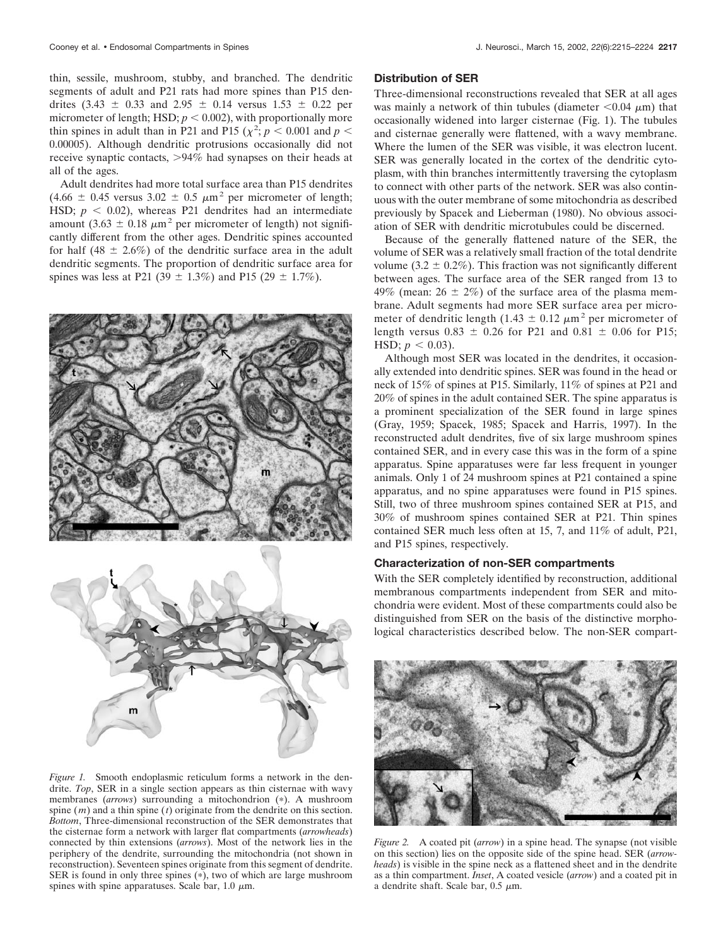thin, sessile, mushroom, stubby, and branched. The dendritic segments of adult and P21 rats had more spines than P15 dendrites  $(3.43 \pm 0.33 \text{ and } 2.95 \pm 0.14 \text{ versus } 1.53 \pm 0.22 \text{ per})$ micrometer of length; HSD;  $p < 0.002$ ), with proportionally more thin spines in adult than in P21 and P15 ( $\chi^2$ ;  $p < 0.001$  and  $p <$ 0.00005). Although dendritic protrusions occasionally did not receive synaptic contacts, 94% had synapses on their heads at all of the ages.

Adult dendrites had more total surface area than P15 dendrites  $(4.66 \pm 0.45 \text{ versus } 3.02 \pm 0.5 \text{ }\mu\text{m}^2 \text{ per micrometer of length};$ HSD;  $p < 0.02$ ), whereas P21 dendrites had an intermediate amount (3.63  $\pm$  0.18  $\mu$ m<sup>2</sup> per micrometer of length) not significantly different from the other ages. Dendritic spines accounted for half (48  $\pm$  2.6%) of the dendritic surface area in the adult dendritic segments. The proportion of dendritic surface area for spines was less at P21 (39  $\pm$  1.3%) and P15 (29  $\pm$  1.7%).



*Figure 1.* Smooth endoplasmic reticulum forms a network in the dendrite. *Top*, SER in a single section appears as thin cisternae with wavy membranes (arrows) surrounding a mitochondrion (\*). A mushroom spine (*m*) and a thin spine (*t*) originate from the dendrite on this section. *Bottom*, Three-dimensional reconstruction of the SER demonstrates that the cisternae form a network with larger flat compartments (*arrowheads*) connected by thin extensions (*arrows*). Most of the network lies in the periphery of the dendrite, surrounding the mitochondria (not shown in reconstruction). Seventeen spines originate from this segment of dendrite. SER is found in only three spines  $(*)$ , two of which are large mushroom spines with spine apparatuses. Scale bar, 1.0  $\mu$ m.

## **Distribution of SER**

Three-dimensional reconstructions revealed that SER at all ages was mainly a network of thin tubules (diameter  $< 0.04 \mu m$ ) that occasionally widened into larger cisternae (Fig. 1). The tubules and cisternae generally were flattened, with a wavy membrane. Where the lumen of the SER was visible, it was electron lucent. SER was generally located in the cortex of the dendritic cytoplasm, with thin branches intermittently traversing the cytoplasm to connect with other parts of the network. SER was also continuous with the outer membrane of some mitochondria as described previously by Spacek and Lieberman (1980). No obvious association of SER with dendritic microtubules could be discerned.

Because of the generally flattened nature of the SER, the volume of SER was a relatively small fraction of the total dendrite volume (3.2  $\pm$  0.2%). This fraction was not significantly different between ages. The surface area of the SER ranged from 13 to 49% (mean:  $26 \pm 2\%$ ) of the surface area of the plasma membrane. Adult segments had more SER surface area per micrometer of dendritic length (1.43  $\pm$  0.12  $\mu$ m<sup>2</sup> per micrometer of length versus  $0.83 \pm 0.26$  for P21 and  $0.81 \pm 0.06$  for P15; HSD;  $p < 0.03$ ).

Although most SER was located in the dendrites, it occasionally extended into dendritic spines. SER was found in the head or neck of 15% of spines at P15. Similarly, 11% of spines at P21 and 20% of spines in the adult contained SER. The spine apparatus is a prominent specialization of the SER found in large spines (Gray, 1959; Spacek, 1985; Spacek and Harris, 1997). In the reconstructed adult dendrites, five of six large mushroom spines contained SER, and in every case this was in the form of a spine apparatus. Spine apparatuses were far less frequent in younger animals. Only 1 of 24 mushroom spines at P21 contained a spine apparatus, and no spine apparatuses were found in P15 spines. Still, two of three mushroom spines contained SER at P15, and 30% of mushroom spines contained SER at P21. Thin spines contained SER much less often at 15, 7, and 11% of adult, P21, and P15 spines, respectively.

#### **Characterization of non-SER compartments**

With the SER completely identified by reconstruction, additional membranous compartments independent from SER and mitochondria were evident. Most of these compartments could also be distinguished from SER on the basis of the distinctive morphological characteristics described below. The non-SER compart-



*Figure 2.* A coated pit (*arrow*) in a spine head. The synapse (not visible on this section) lies on the opposite side of the spine head. SER (*arrowheads*) is visible in the spine neck as a flattened sheet and in the dendrite as a thin compartment. *Inset*, A coated vesicle (*arrow*) and a coated pit in a dendrite shaft. Scale bar,  $0.5 \mu m$ .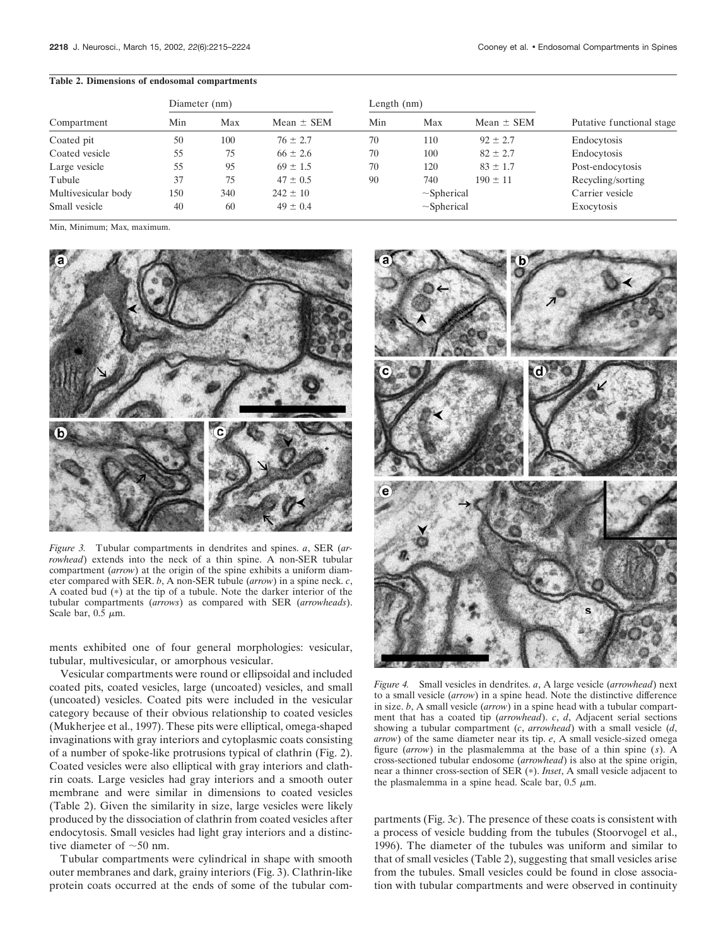#### **Table 2. Dimensions of endosomal compartments**

|                     | Diameter (nm) |     |                | Length $(nm)$    |     |                 |                           |  |
|---------------------|---------------|-----|----------------|------------------|-----|-----------------|---------------------------|--|
| Compartment         | Min<br>Max    |     | Mean $\pm$ SEM | Min              | Max | Mean $\pm$ SEM  | Putative functional stage |  |
| Coated pit          | 50            | 100 | $76 \pm 2.7$   | 70               | 110 | $92 \pm 2.7$    | Endocytosis               |  |
| Coated vesicle      | 55            | 75  | $66 \pm 2.6$   | 70               | 100 | $82 \pm 2.7$    | Endocytosis               |  |
| Large vesicle       | 55            | 95  | $69 \pm 1.5$   | 70               | 120 | $83 \pm 1.7$    | Post-endocytosis          |  |
| Tubule              | 37            | 75  | $47 \pm 0.5$   | 90               | 740 | $190 \pm 11$    | Recycling/sorting         |  |
| Multivesicular body | 150           | 340 | $242 \pm 10$   | $\sim$ Spherical |     | Carrier vesicle |                           |  |
| Small vesicle       | 40            | 60  | $49 \pm 0.4$   | $\sim$ Spherical |     | Exocytosis      |                           |  |

Min, Minimum; Max, maximum.



*Figure 3.* Tubular compartments in dendrites and spines. *a*, SER (*arrowhead*) extends into the neck of a thin spine. A non-SER tubular compartment (*arrow*) at the origin of the spine exhibits a uniform diameter compared with SER. *b*, A non-SER tubule (*arrow*) in a spine neck. *c*, A coated bud  $(*)$  at the tip of a tubule. Note the darker interior of the tubular compartments (*arrows*) as compared with SER (*arrowheads*). Scale bar,  $0.5 \mu m$ .

ments exhibited one of four general morphologies: vesicular, tubular, multivesicular, or amorphous vesicular.

Vesicular compartments were round or ellipsoidal and included coated pits, coated vesicles, large (uncoated) vesicles, and small (uncoated) vesicles. Coated pits were included in the vesicular category because of their obvious relationship to coated vesicles (Mukherjee et al., 1997). These pits were elliptical, omega-shaped invaginations with gray interiors and cytoplasmic coats consisting of a number of spoke-like protrusions typical of clathrin (Fig. 2). Coated vesicles were also elliptical with gray interiors and clathrin coats. Large vesicles had gray interiors and a smooth outer membrane and were similar in dimensions to coated vesicles (Table 2). Given the similarity in size, large vesicles were likely produced by the dissociation of clathrin from coated vesicles after endocytosis. Small vesicles had light gray interiors and a distinctive diameter of  $~50$  nm.

Tubular compartments were cylindrical in shape with smooth outer membranes and dark, grainy interiors (Fig. 3). Clathrin-like protein coats occurred at the ends of some of the tubular com-



*Figure 4.* Small vesicles in dendrites. *a*, A large vesicle (*arrowhead*) next to a small vesicle (*arrow*) in a spine head. Note the distinctive difference in size. *b*, A small vesicle (*arrow*) in a spine head with a tubular compartment that has a coated tip (*arrowhead*). *c*, *d*, Adjacent serial sections showing a tubular compartment (*c*, *arrowhead*) with a small vesicle (*d*, *arrow*) of the same diameter near its tip. *e*, A small vesicle-sized omega figure (*arrow*) in the plasmalemma at the base of a thin spine (*s*). A cross-sectioned tubular endosome (*arrowhead*) is also at the spine origin, near a thinner cross-section of SER (\*). *Inset*, A small vesicle adjacent to the plasmalemma in a spine head. Scale bar,  $0.5 \mu m$ .

partments (Fig. 3*c*). The presence of these coats is consistent with a process of vesicle budding from the tubules (Stoorvogel et al., 1996). The diameter of the tubules was uniform and similar to that of small vesicles (Table 2), suggesting that small vesicles arise from the tubules. Small vesicles could be found in close association with tubular compartments and were observed in continuity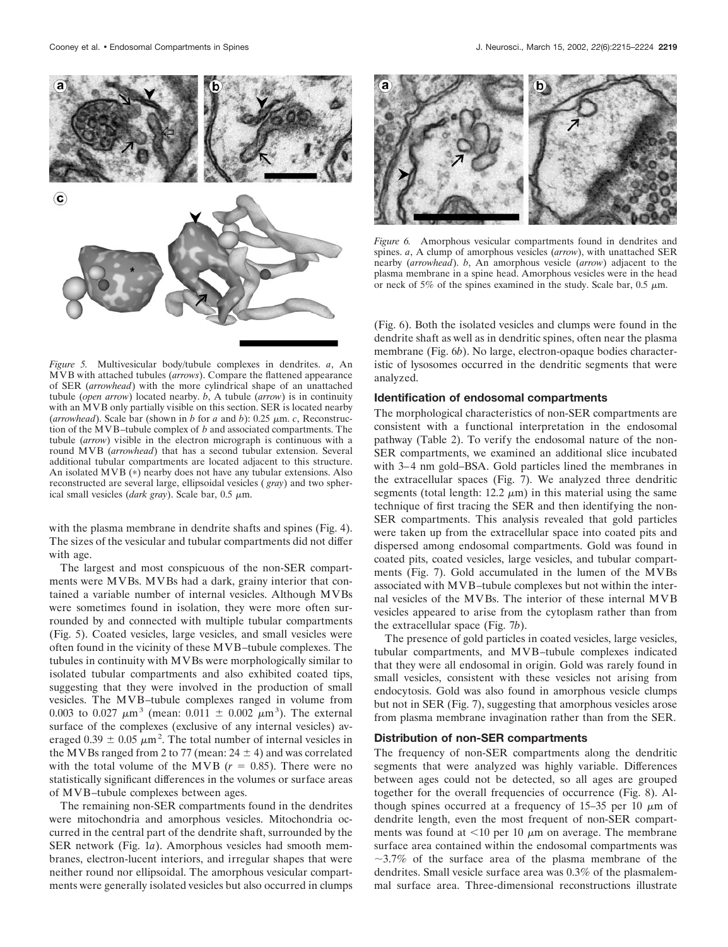

*Figure 5.* Multivesicular body/tubule complexes in dendrites. *a*, An MVB with attached tubules (*arrows*). Compare the flattened appearance of SER (*arrowhead*) with the more cylindrical shape of an unattached tubule (*open arrow*) located nearby. *b*, A tubule (*arrow*) is in continuity with an MVB only partially visible on this section. SER is located nearby (*arrowhead*). Scale bar (shown in *b* for *a* and *b*): 0.25  $\mu$ m. *c*, Reconstruction of the MVB–tubule complex of *b* and associated compartments. The tubule (*arrow*) visible in the electron micrograph is continuous with a round MVB (*arrowhead*) that has a second tubular extension. Several additional tubular compartments are located adjacent to this structure. An isolated MVB  $(*)$  nearby does not have any tubular extensions. Also reconstructed are several large, ellipsoidal vesicles ( *gray*) and two spherical small vesicles (*dark gray*). Scale bar,  $0.5 \mu m$ .

with the plasma membrane in dendrite shafts and spines (Fig. 4). The sizes of the vesicular and tubular compartments did not differ with age.

The largest and most conspicuous of the non-SER compartments were MVBs. MVBs had a dark, grainy interior that contained a variable number of internal vesicles. Although MVBs were sometimes found in isolation, they were more often surrounded by and connected with multiple tubular compartments (Fig. 5). Coated vesicles, large vesicles, and small vesicles were often found in the vicinity of these MVB–tubule complexes. The tubules in continuity with MVBs were morphologically similar to isolated tubular compartments and also exhibited coated tips, suggesting that they were involved in the production of small vesicles. The MVB–tubule complexes ranged in volume from 0.003 to 0.027  $\mu$ m<sup>3</sup> (mean: 0.011  $\pm$  0.002  $\mu$ m<sup>3</sup>). The external surface of the complexes (exclusive of any internal vesicles) averaged  $0.39 \pm 0.05 \ \mu m^2$ . The total number of internal vesicles in the MVBs ranged from 2 to 77 (mean:  $24 \pm 4$ ) and was correlated with the total volume of the MVB  $(r = 0.85)$ . There were no statistically significant differences in the volumes or surface areas of MVB–tubule complexes between ages.

The remaining non-SER compartments found in the dendrites were mitochondria and amorphous vesicles. Mitochondria occurred in the central part of the dendrite shaft, surrounded by the SER network (Fig. 1*a*). Amorphous vesicles had smooth membranes, electron-lucent interiors, and irregular shapes that were neither round nor ellipsoidal. The amorphous vesicular compartments were generally isolated vesicles but also occurred in clumps



*Figure 6.* Amorphous vesicular compartments found in dendrites and spines. *a*, A clump of amorphous vesicles (*arrow*), with unattached SER nearby (*arrowhead*). *b*, An amorphous vesicle (*arrow*) adjacent to the plasma membrane in a spine head. Amorphous vesicles were in the head or neck of 5% of the spines examined in the study. Scale bar,  $0.5 \mu m$ .

(Fig. 6). Both the isolated vesicles and clumps were found in the dendrite shaft as well as in dendritic spines, often near the plasma membrane (Fig. 6*b*). No large, electron-opaque bodies characteristic of lysosomes occurred in the dendritic segments that were analyzed.

## **Identification of endosomal compartments**

The morphological characteristics of non-SER compartments are consistent with a functional interpretation in the endosomal pathway (Table 2). To verify the endosomal nature of the non-SER compartments, we examined an additional slice incubated with 3–4 nm gold–BSA. Gold particles lined the membranes in the extracellular spaces (Fig. 7). We analyzed three dendritic segments (total length:  $12.2 \mu m$ ) in this material using the same technique of first tracing the SER and then identifying the non-SER compartments. This analysis revealed that gold particles were taken up from the extracellular space into coated pits and dispersed among endosomal compartments. Gold was found in coated pits, coated vesicles, large vesicles, and tubular compartments (Fig. 7). Gold accumulated in the lumen of the MVBs associated with MVB–tubule complexes but not within the internal vesicles of the MVBs. The interior of these internal MVB vesicles appeared to arise from the cytoplasm rather than from the extracellular space (Fig. 7*b*).

The presence of gold particles in coated vesicles, large vesicles, tubular compartments, and MVB–tubule complexes indicated that they were all endosomal in origin. Gold was rarely found in small vesicles, consistent with these vesicles not arising from endocytosis. Gold was also found in amorphous vesicle clumps but not in SER (Fig. 7), suggesting that amorphous vesicles arose from plasma membrane invagination rather than from the SER.

#### **Distribution of non-SER compartments**

The frequency of non-SER compartments along the dendritic segments that were analyzed was highly variable. Differences between ages could not be detected, so all ages are grouped together for the overall frequencies of occurrence (Fig. 8). Although spines occurred at a frequency of 15–35 per 10  $\mu$ m of dendrite length, even the most frequent of non-SER compartments was found at  $\leq 10$  per 10  $\mu$ m on average. The membrane surface area contained within the endosomal compartments was  $\sim$ 3.7% of the surface area of the plasma membrane of the dendrites. Small vesicle surface area was 0.3% of the plasmalemmal surface area. Three-dimensional reconstructions illustrate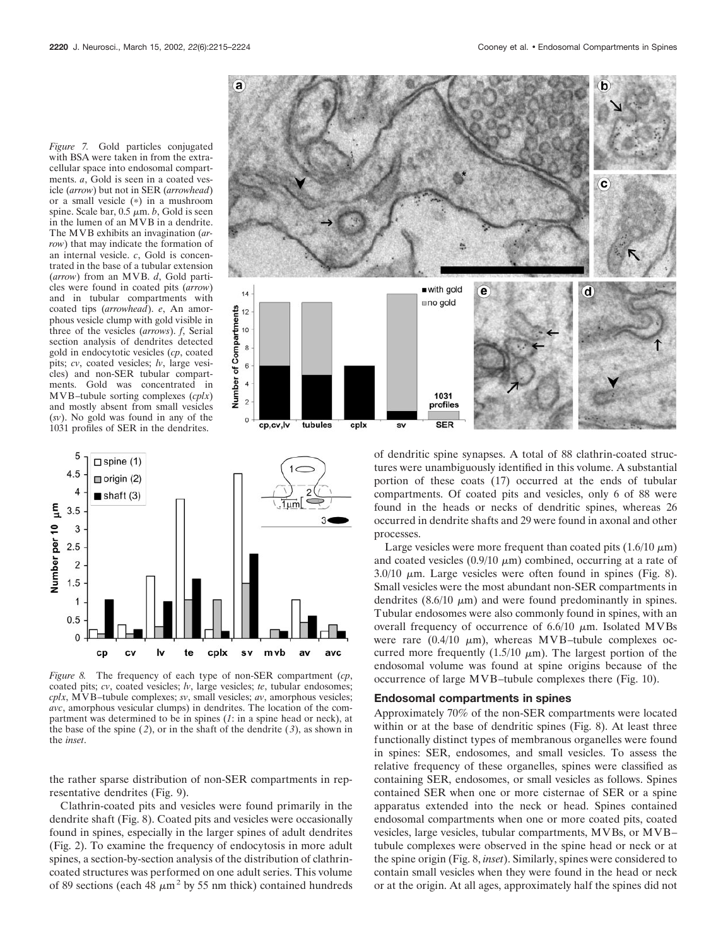*Figure 7.* Gold particles conjugated with BSA were taken in from the extracellular space into endosomal compartments. *a*, Gold is seen in a coated vesicle (*arrow*) but not in SER (*arrowhead*) or a small vesicle  $(*)$  in a mushroom spine. Scale bar,  $0.5 \mu m$ . *b*, Gold is seen in the lumen of an MVB in a dendrite. The MVB exhibits an invagination (*arrow*) that may indicate the formation of an internal vesicle. *c*, Gold is concentrated in the base of a tubular extension (*arrow*) from an MVB. *d*, Gold particles were found in coated pits (*arrow*) and in tubular compartments with coated tips (*arrowhead*). *e*, An amorphous vesicle clump with gold visible in three of the vesicles (*arrows*). *f*, Serial section analysis of dendrites detected gold in endocytotic vesicles (*cp*, coated pits; *cv*, coated vesicles; *lv*, large vesicles) and non-SER tubular compartments. Gold was concentrated in MVB–tubule sorting complexes (*cplx*) and mostly absent from small vesicles (*sv*). No gold was found in any of the 1031 profiles of SER in the dendrites.





*Figure 8.* The frequency of each type of non-SER compartment (*cp*, coated pits; *cv*, coated vesicles; *lv*, large vesicles; *te*, tubular endosomes; *cplx*, MVB–tubule complexes; *sv*, small vesicles; *av*, amorphous vesicles; *avc*, amorphous vesicular clumps) in dendrites. The location of the compartment was determined to be in spines (*1*: in a spine head or neck), at the base of the spine  $(2)$ , or in the shaft of the dendrite  $(3)$ , as shown in the *inset*.

the rather sparse distribution of non-SER compartments in representative dendrites (Fig. 9).

Clathrin-coated pits and vesicles were found primarily in the dendrite shaft (Fig. 8). Coated pits and vesicles were occasionally found in spines, especially in the larger spines of adult dendrites (Fig. 2). To examine the frequency of endocytosis in more adult spines, a section-by-section analysis of the distribution of clathrincoated structures was performed on one adult series. This volume of 89 sections (each 48  $\mu$ m<sup>2</sup> by 55 nm thick) contained hundreds of dendritic spine synapses. A total of 88 clathrin-coated structures were unambiguously identified in this volume. A substantial portion of these coats (17) occurred at the ends of tubular compartments. Of coated pits and vesicles, only 6 of 88 were found in the heads or necks of dendritic spines, whereas 26 occurred in dendrite shafts and 29 were found in axonal and other processes.

Large vesicles were more frequent than coated pits  $(1.6/10 \mu m)$ and coated vesicles  $(0.9/10 \mu m)$  combined, occurring at a rate of  $3.0/10 \mu$ m. Large vesicles were often found in spines (Fig. 8). Small vesicles were the most abundant non-SER compartments in dendrites  $(8.6/10 \mu m)$  and were found predominantly in spines. Tubular endosomes were also commonly found in spines, with an overall frequency of occurrence of  $6.6/10 \mu m$ . Isolated MVBs were rare  $(0.4/10 \mu m)$ , whereas MVB-tubule complexes occurred more frequently  $(1.5/10 \mu m)$ . The largest portion of the endosomal volume was found at spine origins because of the occurrence of large MVB–tubule complexes there (Fig. 10).

#### **Endosomal compartments in spines**

Approximately 70% of the non-SER compartments were located within or at the base of dendritic spines (Fig. 8). At least three functionally distinct types of membranous organelles were found in spines: SER, endosomes, and small vesicles. To assess the relative frequency of these organelles, spines were classified as containing SER, endosomes, or small vesicles as follows. Spines contained SER when one or more cisternae of SER or a spine apparatus extended into the neck or head. Spines contained endosomal compartments when one or more coated pits, coated vesicles, large vesicles, tubular compartments, MVBs, or MVB– tubule complexes were observed in the spine head or neck or at the spine origin (Fig. 8, *inset*). Similarly, spines were considered to contain small vesicles when they were found in the head or neck or at the origin. At all ages, approximately half the spines did not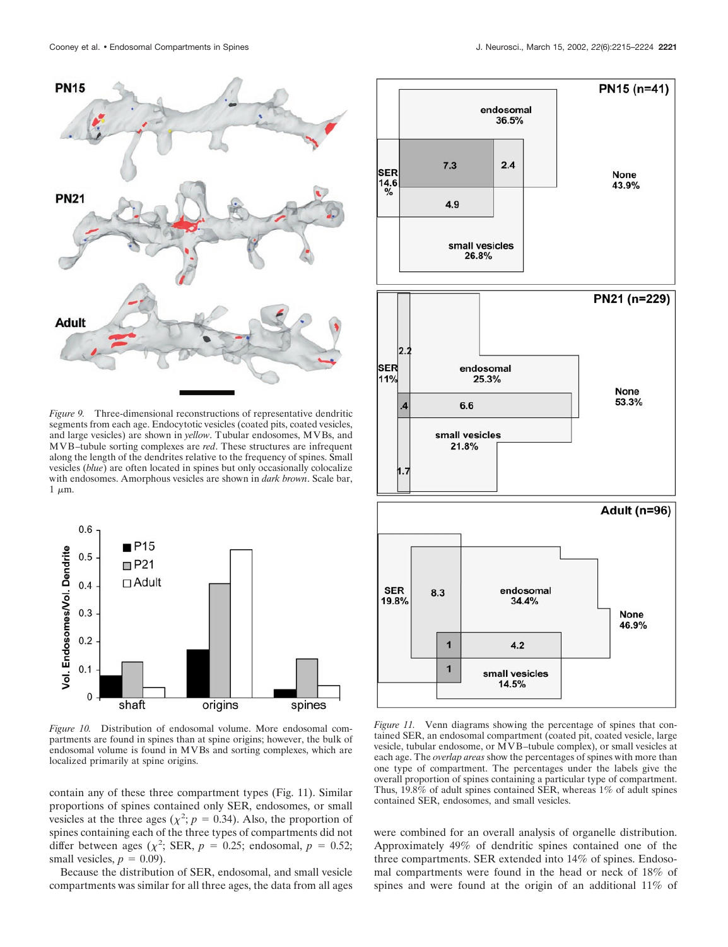

*Figure 9.* Three-dimensional reconstructions of representative dendritic segments from each age. Endocytotic vesicles (coated pits, coated vesicles, and large vesicles) are shown in *yellow*. Tubular endosomes, MVBs, and MVB–tubule sorting complexes are *red*. These structures are infrequent along the length of the dendrites relative to the frequency of spines. Small vesicles (*blue*) are often located in spines but only occasionally colocalize with endosomes. Amorphous vesicles are shown in *dark brown*. Scale bar,  $1 \mu m$ .



*Figure 10.* Distribution of endosomal volume. More endosomal compartments are found in spines than at spine origins; however, the bulk of endosomal volume is found in MVBs and sorting complexes, which are localized primarily at spine origins.

contain any of these three compartment types (Fig. 11). Similar proportions of spines contained only SER, endosomes, or small vesicles at the three ages ( $\chi^2$ ;  $p = 0.34$ ). Also, the proportion of spines containing each of the three types of compartments did not differ between ages ( $\chi^2$ ; SER,  $p = 0.25$ ; endosomal,  $p = 0.52$ ; small vesicles,  $p = 0.09$ ).

Because the distribution of SER, endosomal, and small vesicle compartments was similar for all three ages, the data from all ages



*Figure 11.* Venn diagrams showing the percentage of spines that contained SER, an endosomal compartment (coated pit, coated vesicle, large vesicle, tubular endosome, or MVB–tubule complex), or small vesicles at each age. The *overlap areas* show the percentages of spines with more than one type of compartment. The percentages under the labels give the overall proportion of spines containing a particular type of compartment. Thus, 19.8% of adult spines contained SER, whereas 1% of adult spines contained SER, endosomes, and small vesicles.

were combined for an overall analysis of organelle distribution. Approximately 49% of dendritic spines contained one of the three compartments. SER extended into 14% of spines. Endosomal compartments were found in the head or neck of 18% of spines and were found at the origin of an additional 11% of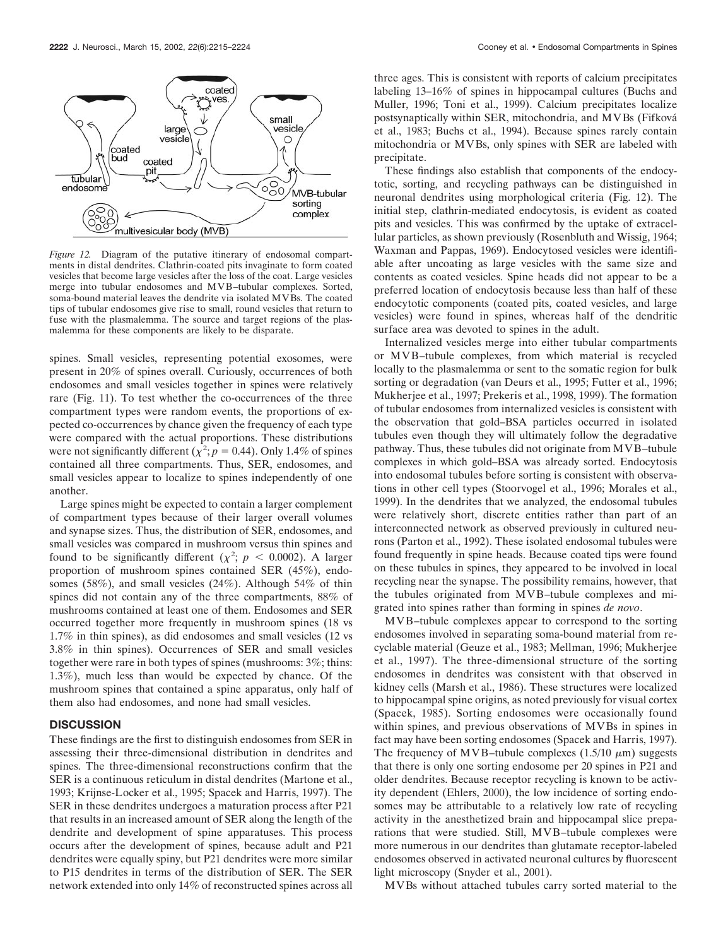

*Figure 12.* Diagram of the putative itinerary of endosomal compartments in distal dendrites. Clathrin-coated pits invaginate to form coated vesicles that become large vesicles after the loss of the coat. Large vesicles merge into tubular endosomes and MVB–tubular complexes. Sorted, soma-bound material leaves the dendrite via isolated MVBs. The coated tips of tubular endosomes give rise to small, round vesicles that return to fuse with the plasmalemma. The source and target regions of the plasmalemma for these components are likely to be disparate.

spines. Small vesicles, representing potential exosomes, were present in 20% of spines overall. Curiously, occurrences of both endosomes and small vesicles together in spines were relatively rare (Fig. 11). To test whether the co-occurrences of the three compartment types were random events, the proportions of expected co-occurrences by chance given the frequency of each type were compared with the actual proportions. These distributions were not significantly different  $(\chi^2; p = 0.44)$ . Only 1.4% of spines contained all three compartments. Thus, SER, endosomes, and small vesicles appear to localize to spines independently of one another.

Large spines might be expected to contain a larger complement of compartment types because of their larger overall volumes and synapse sizes. Thus, the distribution of SER, endosomes, and small vesicles was compared in mushroom versus thin spines and found to be significantly different  $(\chi^2; p \leq 0.0002)$ . A larger proportion of mushroom spines contained SER (45%), endosomes (58%), and small vesicles (24%). Although 54% of thin spines did not contain any of the three compartments, 88% of mushrooms contained at least one of them. Endosomes and SER occurred together more frequently in mushroom spines (18 vs 1.7% in thin spines), as did endosomes and small vesicles (12 vs 3.8% in thin spines). Occurrences of SER and small vesicles together were rare in both types of spines (mushrooms: 3%; thins: 1.3%), much less than would be expected by chance. Of the mushroom spines that contained a spine apparatus, only half of them also had endosomes, and none had small vesicles.

# **DISCUSSION**

These findings are the first to distinguish endosomes from SER in assessing their three-dimensional distribution in dendrites and spines. The three-dimensional reconstructions confirm that the SER is a continuous reticulum in distal dendrites (Martone et al., 1993; Krijnse-Locker et al., 1995; Spacek and Harris, 1997). The SER in these dendrites undergoes a maturation process after P21 that results in an increased amount of SER along the length of the dendrite and development of spine apparatuses. This process occurs after the development of spines, because adult and P21 dendrites were equally spiny, but P21 dendrites were more similar to P15 dendrites in terms of the distribution of SER. The SER network extended into only 14% of reconstructed spines across all

three ages. This is consistent with reports of calcium precipitates labeling 13–16% of spines in hippocampal cultures (Buchs and Muller, 1996; Toni et al., 1999). Calcium precipitates localize postsynaptically within SER, mitochondria, and MVBs (Fifkova´ et al., 1983; Buchs et al., 1994). Because spines rarely contain mitochondria or MVBs, only spines with SER are labeled with precipitate.

These findings also establish that components of the endocytotic, sorting, and recycling pathways can be distinguished in neuronal dendrites using morphological criteria (Fig. 12). The initial step, clathrin-mediated endocytosis, is evident as coated pits and vesicles. This was confirmed by the uptake of extracellular particles, as shown previously (Rosenbluth and Wissig, 1964; Waxman and Pappas, 1969). Endocytosed vesicles were identifiable after uncoating as large vesicles with the same size and contents as coated vesicles. Spine heads did not appear to be a preferred location of endocytosis because less than half of these endocytotic components (coated pits, coated vesicles, and large vesicles) were found in spines, whereas half of the dendritic surface area was devoted to spines in the adult.

Internalized vesicles merge into either tubular compartments or MVB–tubule complexes, from which material is recycled locally to the plasmalemma or sent to the somatic region for bulk sorting or degradation (van Deurs et al., 1995; Futter et al., 1996; Mukherjee et al., 1997; Prekeris et al., 1998, 1999). The formation of tubular endosomes from internalized vesicles is consistent with the observation that gold–BSA particles occurred in isolated tubules even though they will ultimately follow the degradative pathway. Thus, these tubules did not originate from MVB–tubule complexes in which gold–BSA was already sorted. Endocytosis into endosomal tubules before sorting is consistent with observations in other cell types (Stoorvogel et al., 1996; Morales et al., 1999). In the dendrites that we analyzed, the endosomal tubules were relatively short, discrete entities rather than part of an interconnected network as observed previously in cultured neurons (Parton et al., 1992). These isolated endosomal tubules were found frequently in spine heads. Because coated tips were found on these tubules in spines, they appeared to be involved in local recycling near the synapse. The possibility remains, however, that the tubules originated from MVB–tubule complexes and migrated into spines rather than forming in spines *de novo*.

MVB–tubule complexes appear to correspond to the sorting endosomes involved in separating soma-bound material from recyclable material (Geuze et al., 1983; Mellman, 1996; Mukherjee et al., 1997). The three-dimensional structure of the sorting endosomes in dendrites was consistent with that observed in kidney cells (Marsh et al., 1986). These structures were localized to hippocampal spine origins, as noted previously for visual cortex (Spacek, 1985). Sorting endosomes were occasionally found within spines, and previous observations of MVBs in spines in fact may have been sorting endosomes (Spacek and Harris, 1997). The frequency of MVB–tubule complexes  $(1.5/10 \mu m)$  suggests that there is only one sorting endosome per 20 spines in P21 and older dendrites. Because receptor recycling is known to be activity dependent (Ehlers, 2000), the low incidence of sorting endosomes may be attributable to a relatively low rate of recycling activity in the anesthetized brain and hippocampal slice preparations that were studied. Still, MVB–tubule complexes were more numerous in our dendrites than glutamate receptor-labeled endosomes observed in activated neuronal cultures by fluorescent light microscopy (Snyder et al., 2001).

MVBs without attached tubules carry sorted material to the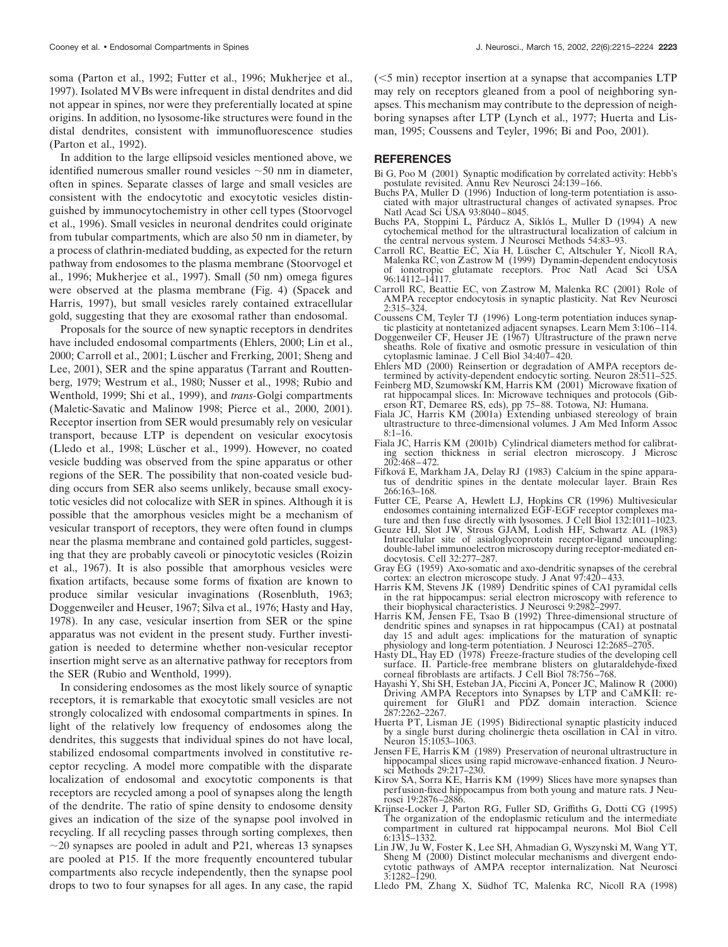soma (Parton et al., 1992; Futter et al., 1996; Mukherjee et al., 1997). Isolated MVBs were infrequent in distal dendrites and did not appear in spines, nor were they preferentially located at spine origins. In addition, no lysosome-like structures were found in the distal dendrites, consistent with immunofluorescence studies (Parton et al., 1992).

In addition to the large ellipsoid vesicles mentioned above, we identified numerous smaller round vesicles  $\sim$  50 nm in diameter, often in spines. Separate classes of large and small vesicles are consistent with the endocytotic and exocytotic vesicles distinguished by immunocytochemistry in other cell types (Stoorvogel et al., 1996). Small vesicles in neuronal dendrites could originate from tubular compartments, which are also 50 nm in diameter, by a process of clathrin-mediated budding, as expected for the return pathway from endosomes to the plasma membrane (Stoorvogel et al., 1996; Mukherjee et al., 1997). Small (50 nm) omega figures were observed at the plasma membrane (Fig. 4) (Spacek and Harris, 1997), but small vesicles rarely contained extracellular gold, suggesting that they are exosomal rather than endosomal.

Proposals for the source of new synaptic receptors in dendrites have included endosomal compartments (Ehlers, 2000; Lin et al., 2000; Carroll et al., 2001; Lüscher and Frerking, 2001; Sheng and Lee, 2001), SER and the spine apparatus (Tarrant and Routtenberg, 1979; Westrum et al., 1980; Nusser et al., 1998; Rubio and Wenthold, 1999; Shi et al., 1999), and *trans-*Golgi compartments (Maletic-Savatic and Malinow 1998; Pierce et al., 2000, 2001). Receptor insertion from SER would presumably rely on vesicular transport, because LTP is dependent on vesicular exocytosis (Lledo et al., 1998; Lüscher et al., 1999). However, no coated vesicle budding was observed from the spine apparatus or other regions of the SER. The possibility that non-coated vesicle budding occurs from SER also seems unlikely, because small exocytotic vesicles did not colocalize with SER in spines. Although it is possible that the amorphous vesicles might be a mechanism of vesicular transport of receptors, they were often found in clumps near the plasma membrane and contained gold particles, suggesting that they are probably caveoli or pinocytotic vesicles (Roizin et al., 1967). It is also possible that amorphous vesicles were fixation artifacts, because some forms of fixation are known to produce similar vesicular invaginations (Rosenbluth, 1963; Doggenweiler and Heuser, 1967; Silva et al., 1976; Hasty and Hay, 1978). In any case, vesicular insertion from SER or the spine apparatus was not evident in the present study. Further investigation is needed to determine whether non-vesicular receptor insertion might serve as an alternative pathway for receptors from the SER (Rubio and Wenthold, 1999).

In considering endosomes as the most likely source of synaptic receptors, it is remarkable that exocytotic small vesicles are not strongly colocalized with endosomal compartments in spines. In light of the relatively low frequency of endosomes along the dendrites, this suggests that individual spines do not have local, stabilized endosomal compartments involved in constitutive receptor recycling. A model more compatible with the disparate localization of endosomal and exocytotic components is that receptors are recycled among a pool of synapses along the length of the dendrite. The ratio of spine density to endosome density gives an indication of the size of the synapse pool involved in recycling. If all recycling passes through sorting complexes, then  $\sim$ 20 synapses are pooled in adult and P21, whereas 13 synapses are pooled at P15. If the more frequently encountered tubular compartments also recycle independently, then the synapse pool drops to two to four synapses for all ages. In any case, the rapid (5 min) receptor insertion at a synapse that accompanies LTP may rely on receptors gleaned from a pool of neighboring synapses. This mechanism may contribute to the depression of neighboring synapses after LTP (Lynch et al., 1977; Huerta and Lisman, 1995; Coussens and Teyler, 1996; Bi and Poo, 2001).

#### **REFERENCES**

- Bi G, Poo M (2001) Synaptic modification by correlated activity: Hebb's postulate revisited. Annu Rev Neurosci 24:139–166.
- Buchs PA, Muller D (1996) Induction of long-term potentiation is associated with major ultrastructural changes of activated synapses. Proc Natl Acad Sci USA 93:8040–8045.
- Buchs PA, Stoppini L, Párducz A, Siklós L, Muller D (1994) A new cytochemical method for the ultrastructural localization of calcium in the central nervous system. J Neurosci Methods 54:83–93.
- Carroll RC, Beattie EC, Xia H, Lüscher C, Altschuler Y, Nicoll RA, Malenka RC, von Zastrow M (1999) Dynamin-dependent endocytosis of ionotropic glutamate receptors. Proc Natl Acad Sci USA 96:14112–14117.
- Carroll RC, Beattie EC, von Zastrow M, Malenka RC (2001) Role of AMPA receptor endocytosis in synaptic plasticity. Nat Rev Neurosci 2:315–324.
- Coussens CM, Teyler TJ (1996) Long-term potentiation induces synaptic plasticity at nontetanized adjacent synapses. Learn Mem 3:106–114.
- Doggenweiler CF, Heuser JE (1967) Ultrastructure of the prawn nerve sheaths. Role of fixative and osmotic pressure in vesiculation of thin cytoplasmic laminae. J Cell Biol 34:407–420.
- Ehlers MD (2000) Reinsertion or degradation of AMPA receptors de-
- termined by activity-dependent endocytic sorting. Neuron 28:511–525. Feinberg MD, Szumowski KM, Harris KM (2001) Microwave fixation of rat hippocampal slices. In: Microwave techniques and protocols (Gib-
- erson RT, Demaree RS, eds), pp 75–88. Totowa, NJ: Humana. Fiala JC, Harris KM (2001a) Extending unbiased stereology of brain ultrastructure to three-dimensional volumes. J Am Med Inform Assoc  $8.1 - 16$
- Fiala JC, Harris KM (2001b) Cylindrical diameters method for calibratsection thickness in serial electron microscopy. J Microsc 202:468–472.
- Fifková E, Markham JA, Delay RJ (1983) Calcium in the spine apparatus of dendritic spines in the dentate molecular layer. Brain Res 266:163–168.
- Futter CE, Pearse A, Hewlett LJ, Hopkins CR (1996) Multivesicular endosomes containing internalized EGF-EGF receptor complexes mature and then fuse directly with lysosomes. J Cell Biol 132:1011–1023.
- Geuze HJ, Slot JW, Strous GJAM, Lodish HF, Schwartz AL (1983) Intracellular site of asialoglycoprotein receptor-ligand uncoupling: double-label immunoelectron microscopy during receptor-mediated endocytosis. Cell 32:277–287.
- Gray EG (1959) Axo-somatic and axo-dendritic synapses of the cerebral cortex: an electron microscope study. J Anat 97:420–433.
- Harris KM, Stevens JK (1989) Dendritic spines of CA1 pyramidal cells in the rat hippocampus: serial electron microscopy with reference to their biophysical characteristics. J Neurosci 9:2982–2997.
- Harris KM, Jensen FE, Tsao B (1992) Three-dimensional structure of dendritic spines and synapses in rat hippocampus (CA1) at postnatal day 15 and adult ages: implications for the maturation of synaptic physiology and long-term potentiation. J Neurosci 12:2685–2705.
- Hasty DL, Hay ED (1978) Freeze-fracture studies of the developing cell surface. II. Particle-free membrane blisters on glutaraldehyde-fixed corneal fibroblasts are artifacts. J Cell Biol 78:756–768.
- Hayashi Y, Shi SH, Esteban JA, Piccini A, Poncer JC, Malinow R (2000) Driving AMPA Receptors into Synapses by LTP and CaMKII: requirement for GluR1 and PDZ domain interaction. Science 287:2262–2267.
- Huerta PT, Lisman JE (1995) Bidirectional synaptic plasticity induced by a single burst during cholinergic theta oscillation in CA1 in vitro. Neuron 15:1053–1063.
- Jensen FE, Harris KM (1989) Preservation of neuronal ultrastructure in hippocampal slices using rapid microwave-enhanced fixation. J Neurosci Methods 29:217–230.
- Kirov SA, Sorra KE, Harris KM (1999) Slices have more synapses than perfusion-fixed hippocampus from both young and mature rats. J Neurosci 19:2876–2886.
- Krijnse-Locker J, Parton RG, Fuller SD, Griffiths G, Dotti CG (1995) The organization of the endoplasmic reticulum and the intermediate compartment in cultured rat hippocampal neurons. Mol Biol Cell 6:1315–1332.
- Lin JW, Ju W, Foster K, Lee SH, Ahmadian G, Wyszynski M, Wang YT, Sheng M (2000) Distinct molecular mechanisms and divergent endocytotic pathways of AMPA receptor internalization. Nat Neurosci 3:1282–1290.
- Lledo PM, Zhang X, Südhof TC, Malenka RC, Nicoll RA (1998)